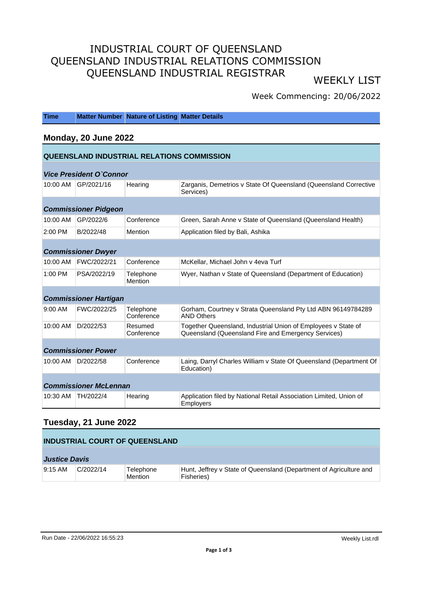# INDUSTRIAL COURT OF QUEENSLAND QUEENSLAND INDUSTRIAL RELATIONS COMMISSION QUEENSLAND INDUSTRIAL REGISTRAR WEEKLY LIST

# Week Commencing: 20/06/2022

| <b>Time</b>                                |                                | <b>Matter Number Nature of Listing Matter Details</b> |                                                                                                                      |  |
|--------------------------------------------|--------------------------------|-------------------------------------------------------|----------------------------------------------------------------------------------------------------------------------|--|
| Monday, 20 June 2022                       |                                |                                                       |                                                                                                                      |  |
| QUEENSLAND INDUSTRIAL RELATIONS COMMISSION |                                |                                                       |                                                                                                                      |  |
|                                            | <b>Vice President O'Connor</b> |                                                       |                                                                                                                      |  |
| 10:00 AM                                   | GP/2021/16                     | Hearing                                               | Zarganis, Demetrios v State Of Queensland (Queensland Corrective<br>Services)                                        |  |
|                                            | <b>Commissioner Pidgeon</b>    |                                                       |                                                                                                                      |  |
| 10:00 AM                                   | GP/2022/6                      | Conference                                            | Green, Sarah Anne v State of Queensland (Queensland Health)                                                          |  |
| $2:00$ PM                                  | B/2022/48                      | Mention                                               | Application filed by Bali, Ashika                                                                                    |  |
|                                            | <b>Commissioner Dwyer</b>      |                                                       |                                                                                                                      |  |
| 10:00 AM                                   | FWC/2022/21                    | Conference                                            | McKellar, Michael John v 4eva Turf                                                                                   |  |
| 1:00 PM                                    | PSA/2022/19                    | Telephone<br>Mention                                  | Wyer, Nathan v State of Queensland (Department of Education)                                                         |  |
|                                            | <b>Commissioner Hartigan</b>   |                                                       |                                                                                                                      |  |
| $9:00$ AM                                  | FWC/2022/25                    | Telephone<br>Conference                               | Gorham, Courtney v Strata Queensland Pty Ltd ABN 96149784289<br><b>AND Others</b>                                    |  |
| 10:00 AM                                   | D/2022/53                      | Resumed<br>Conference                                 | Together Queensland, Industrial Union of Employees v State of<br>Queensland (Queensland Fire and Emergency Services) |  |
| <b>Commissioner Power</b>                  |                                |                                                       |                                                                                                                      |  |
| 10:00 AM                                   | D/2022/58                      | Conference                                            | Laing, Darryl Charles William v State Of Queensland (Department Of<br>Education)                                     |  |
| <b>Commissioner McLennan</b>               |                                |                                                       |                                                                                                                      |  |
| 10:30 AM                                   | TH/2022/4                      | Hearing                                               | Application filed by National Retail Association Limited, Union of<br>Employers                                      |  |
|                                            |                                |                                                       |                                                                                                                      |  |

# **Tuesday, 21 June 2022**

| <b>INDUSTRIAL COURT OF QUEENSLAND</b> |           |                             |                                                                                  |  |
|---------------------------------------|-----------|-----------------------------|----------------------------------------------------------------------------------|--|
| <b>Justice Davis</b>                  |           |                             |                                                                                  |  |
| $9:15 \text{ AM}$                     | C/2022/14 | Telephone<br><b>Mention</b> | Hunt, Jeffrey v State of Queensland (Department of Agriculture and<br>Fisheries) |  |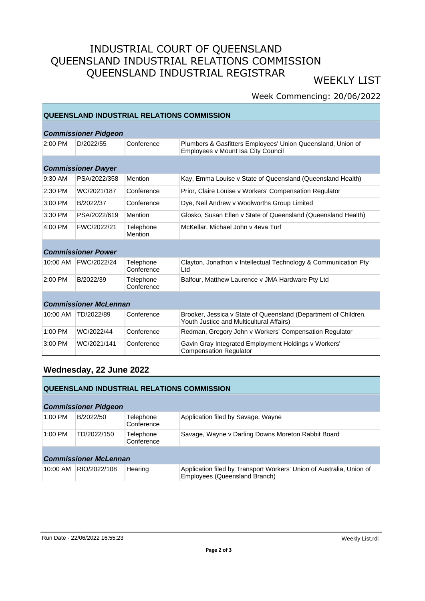# INDUSTRIAL COURT OF QUEENSLAND QUEENSLAND INDUSTRIAL RELATIONS COMMISSION QUEENSLAND INDUSTRIAL REGISTRAR WEEKLY LIST

# Week Commencing: 20/06/2022

### **QUEENSLAND INDUSTRIAL RELATIONS COMMISSION**

| <b>Commissioner Pidgeon</b>  |                           |                         |                                                                                                             |  |
|------------------------------|---------------------------|-------------------------|-------------------------------------------------------------------------------------------------------------|--|
| $2:00$ PM                    | D/2022/55                 | Conference              | Plumbers & Gasfitters Employees' Union Queensland, Union of<br>Employees v Mount Isa City Council           |  |
|                              | <b>Commissioner Dwyer</b> |                         |                                                                                                             |  |
|                              |                           |                         |                                                                                                             |  |
| 9:30 AM                      | PSA/2022/358              | Mention                 | Kay, Emma Louise v State of Queensland (Queensland Health)                                                  |  |
| 2:30 PM                      | WC/2021/187               | Conference              | Prior, Claire Louise v Workers' Compensation Regulator                                                      |  |
| $3:00$ PM                    | B/2022/37                 | Conference              | Dye, Neil Andrew v Woolworths Group Limited                                                                 |  |
| 3:30 PM                      | PSA/2022/619              | Mention                 | Glosko, Susan Ellen v State of Queensland (Queensland Health)                                               |  |
| $4:00$ PM                    | FWC/2022/21               | Telephone<br>Mention    | McKellar, Michael John v 4eva Turf                                                                          |  |
| <b>Commissioner Power</b>    |                           |                         |                                                                                                             |  |
| 10:00 AM                     | FWC/2022/24               | Telephone<br>Conference | Clayton, Jonathon y Intellectual Technology & Communication Pty<br>Ltd                                      |  |
| $2:00$ PM                    | B/2022/39                 | Telephone<br>Conference | Balfour, Matthew Laurence v JMA Hardware Pty Ltd                                                            |  |
|                              |                           |                         |                                                                                                             |  |
| <b>Commissioner McLennan</b> |                           |                         |                                                                                                             |  |
| 10:00 AM                     | TD/2022/89                | Conference              | Brooker, Jessica v State of Queensland (Department of Children,<br>Youth Justice and Multicultural Affairs) |  |
| $1:00$ PM                    | WC/2022/44                | Conference              | Redman, Gregory John v Workers' Compensation Regulator                                                      |  |
| $3:00$ PM                    | WC/2021/141               | Conference              | Gavin Gray Integrated Employment Holdings v Workers'<br><b>Compensation Regulator</b>                       |  |

## **Wednesday, 22 June 2022**

#### **QUEENSLAND INDUSTRIAL RELATIONS COMMISSION**

#### **Commissioner Pidgeon**

| <u>oommaanonen rugeon</u>    |              |                         |                                                                                                       |  |  |
|------------------------------|--------------|-------------------------|-------------------------------------------------------------------------------------------------------|--|--|
| 1:00 PM                      | B/2022/50    | Telephone<br>Conference | Application filed by Savage, Wayne                                                                    |  |  |
| $1:00$ PM                    | TD/2022/150  | Telephone<br>Conference | Savage, Wayne v Darling Downs Moreton Rabbit Board                                                    |  |  |
| <b>Commissioner McLennan</b> |              |                         |                                                                                                       |  |  |
| 10:00 AM                     | RIO/2022/108 | Hearing                 | Application filed by Transport Workers' Union of Australia, Union of<br>Employees (Queensland Branch) |  |  |

#### Run Date - 22/06/2022 16:55:23